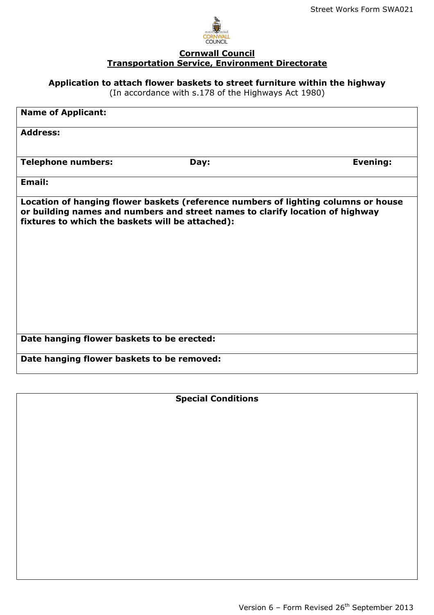

### **Cornwall Council Transportation Service, Environment Directorate**

**Application to attach flower baskets to street furniture within the highway** 

(In accordance with s.178 of the Highways Act 1980)

| <b>Name of Applicant:</b>                                                                                                                                                                                               |      |                 |
|-------------------------------------------------------------------------------------------------------------------------------------------------------------------------------------------------------------------------|------|-----------------|
| <b>Address:</b>                                                                                                                                                                                                         |      |                 |
| <b>Telephone numbers:</b>                                                                                                                                                                                               | Day: | <b>Evening:</b> |
| <b>Email:</b>                                                                                                                                                                                                           |      |                 |
| Location of hanging flower baskets (reference numbers of lighting columns or house<br>or building names and numbers and street names to clarify location of highway<br>fixtures to which the baskets will be attached): |      |                 |
| Date hanging flower baskets to be erected:                                                                                                                                                                              |      |                 |
| Date hanging flower baskets to be removed:                                                                                                                                                                              |      |                 |

**Special Conditions**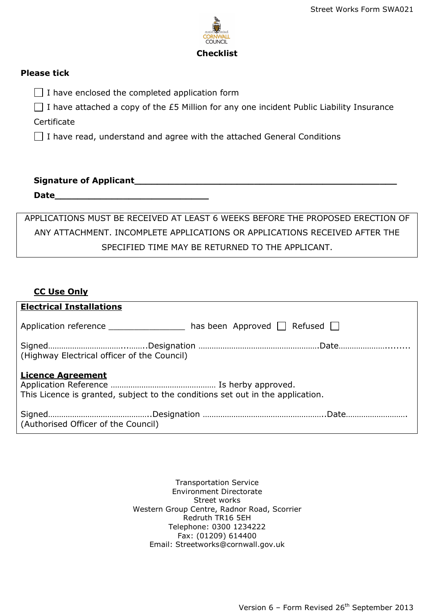

#### **Please tick**

 $\Box$  I have enclosed the completed application form

 $\Box$  I have attached a copy of the £5 Million for any one incident Public Liability Insurance

**Certificate** 

 $\Box$  I have read, understand and agree with the attached General Conditions

# **Signature of Applicant\_\_\_\_\_\_\_\_\_\_\_\_\_\_\_\_\_\_\_\_\_\_\_\_\_\_\_\_\_\_\_\_\_\_\_\_\_\_\_\_\_\_\_\_\_\_**

**Date\_\_\_\_\_\_\_\_\_\_\_\_\_\_\_\_\_\_\_\_\_\_\_\_\_\_\_** 

APPLICATIONS MUST BE RECEIVED AT LEAST 6 WEEKS BEFORE THE PROPOSED ERECTION OF ANY ATTACHMENT. INCOMPLETE APPLICATIONS OR APPLICATIONS RECEIVED AFTER THE SPECIFIED TIME MAY BE RETURNED TO THE APPLICANT.

# **CC Use Only**

| <b>Electrical Installations</b>                                                                            |                                         |  |  |
|------------------------------------------------------------------------------------------------------------|-----------------------------------------|--|--|
| Application reference                                                                                      | has been Approved $\Box$ Refused $\Box$ |  |  |
| (Highway Electrical officer of the Council)                                                                |                                         |  |  |
| <b>Licence Agreement</b><br>This Licence is granted, subject to the conditions set out in the application. |                                         |  |  |
| (Authorised Officer of the Council)                                                                        |                                         |  |  |

Transportation Service Environment Directorate Street works Western Group Centre, Radnor Road, Scorrier Redruth TR16 5EH Telephone: 0300 1234222 Fax: (01209) 614400 Email: Streetworks@cornwall.gov.uk